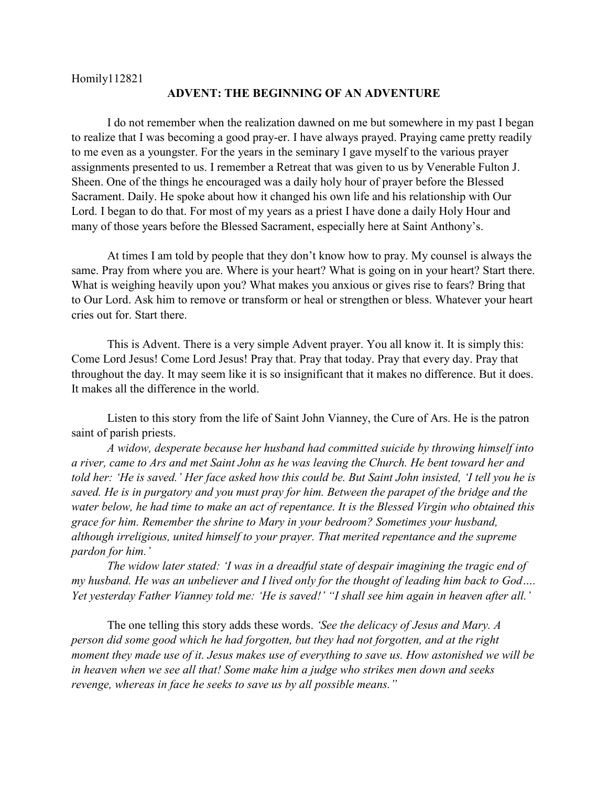Homily112821

## **ADVENT: THE BEGINNING OF AN ADVENTURE**

I do not remember when the realization dawned on me but somewhere in my past I began to realize that I was becoming a good pray-er. I have always prayed. Praying came pretty readily to me even as a youngster. For the years in the seminary I gave myself to the various prayer assignments presented to us. I remember a Retreat that was given to us by Venerable Fulton J. Sheen. One of the things he encouraged was a daily holy hour of prayer before the Blessed Sacrament. Daily. He spoke about how it changed his own life and his relationship with Our Lord. I began to do that. For most of my years as a priest I have done a daily Holy Hour and many of those years before the Blessed Sacrament, especially here at Saint Anthony's.

At times I am told by people that they don't know how to pray. My counsel is always the same. Pray from where you are. Where is your heart? What is going on in your heart? Start there. What is weighing heavily upon you? What makes you anxious or gives rise to fears? Bring that to Our Lord. Ask him to remove or transform or heal or strengthen or bless. Whatever your heart cries out for. Start there.

This is Advent. There is a very simple Advent prayer. You all know it. It is simply this: Come Lord Jesus! Come Lord Jesus! Pray that. Pray that today. Pray that every day. Pray that throughout the day. It may seem like it is so insignificant that it makes no difference. But it does. It makes all the difference in the world.

Listen to this story from the life of Saint John Vianney, the Cure of Ars. He is the patron saint of parish priests.

*A widow, desperate because her husband had committed suicide by throwing himself into a river, came to Ars and met Saint John as he was leaving the Church. He bent toward her and told her: 'He is saved.' Her face asked how this could be. But Saint John insisted, 'I tell you he is saved. He is in purgatory and you must pray for him. Between the parapet of the bridge and the water below, he had time to make an act of repentance. It is the Blessed Virgin who obtained this grace for him. Remember the shrine to Mary in your bedroom? Sometimes your husband, although irreligious, united himself to your prayer. That merited repentance and the supreme pardon for him.'*

*The widow later stated: 'I was in a dreadful state of despair imagining the tragic end of my husband. He was an unbeliever and I lived only for the thought of leading him back to God…. Yet yesterday Father Vianney told me: 'He is saved!' "I shall see him again in heaven after all.'*

The one telling this story adds these words. *'See the delicacy of Jesus and Mary. A person did some good which he had forgotten, but they had not forgotten, and at the right moment they made use of it. Jesus makes use of everything to save us. How astonished we will be in heaven when we see all that! Some make him a judge who strikes men down and seeks revenge, whereas in face he seeks to save us by all possible means."*